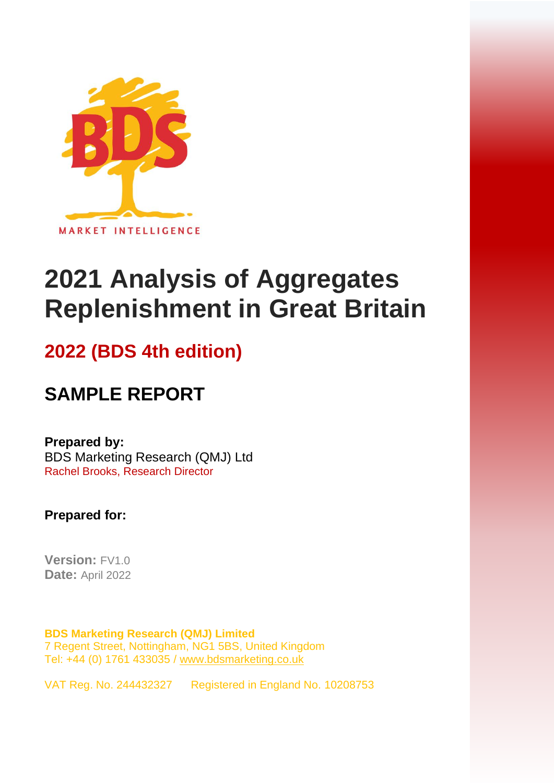

# **2021 Analysis of Aggregates Replenishment in Great Britain**

## **2022 (BDS 4th edition)**

# **SAMPLE REPORT**

#### **Prepared by:**

BDS Marketing Research (QMJ) Ltd Rachel Brooks, Research Director

**Prepared for:**

**Version:** FV1.0 **Date:** April 2022

**BDS Marketing Research (QMJ) Limited** 7 Regent Street, Nottingham, NG1 5BS, United Kingdom Tel: +44 (0) 1761 433035 / [www.bdsmarketing.co.uk](http://www.bdsmarketing.co.uk/)

VAT Reg. No. 244432327 Registered in England No. 10208753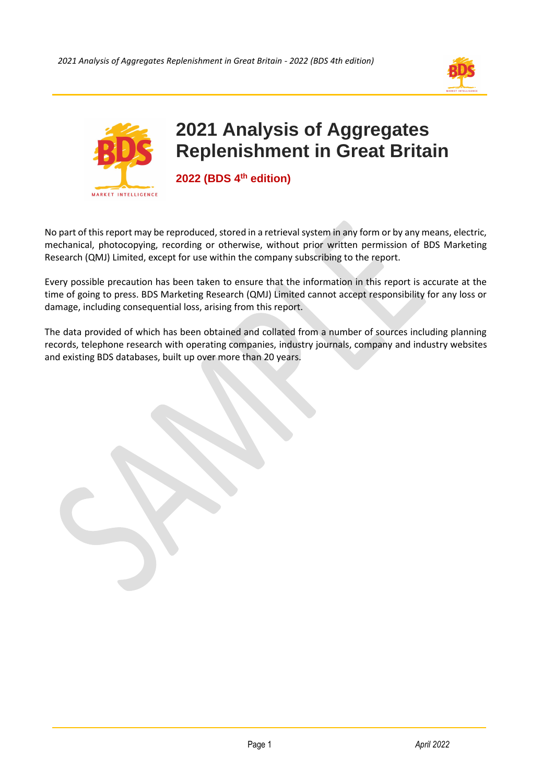



No part of this report may be reproduced, stored in a retrieval system in any form or by any means, electric, mechanical, photocopying, recording or otherwise, without prior written permission of BDS Marketing Research (QMJ) Limited, except for use within the company subscribing to the report.

Every possible precaution has been taken to ensure that the information in this report is accurate at the time of going to press. BDS Marketing Research (QMJ) Limited cannot accept responsibility for any loss or damage, including consequential loss, arising from this report.

The data provided of which has been obtained and collated from a number of sources including planning records, telephone research with operating companies, industry journals, company and industry websites and existing BDS databases, built up over more than 20 years.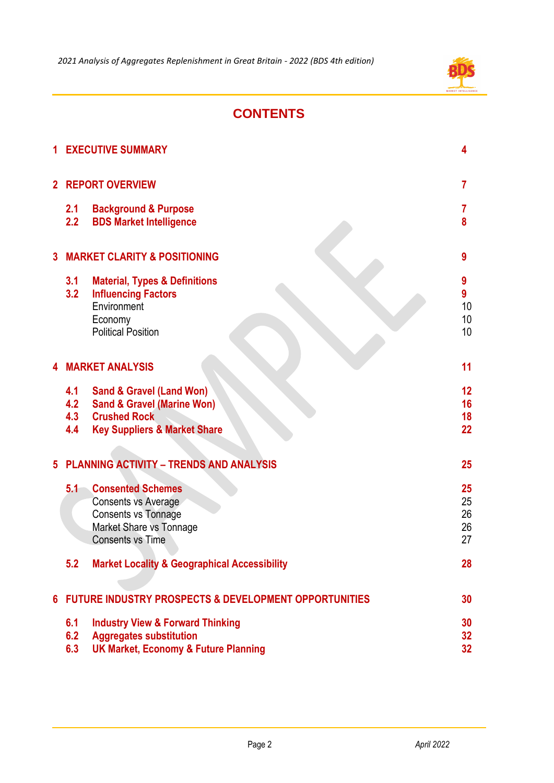

## **CONTENTS**

| 1                                            |                                                                  | <b>EXECUTIVE SUMMARY</b>                                                                                                                       | 4                          |
|----------------------------------------------|------------------------------------------------------------------|------------------------------------------------------------------------------------------------------------------------------------------------|----------------------------|
|                                              | 2 REPORT OVERVIEW                                                |                                                                                                                                                | $\overline{7}$             |
|                                              | 2.1<br>2.2                                                       | <b>Background &amp; Purpose</b><br><b>BDS Market Intelligence</b>                                                                              | 7<br>8                     |
| <b>MARKET CLARITY &amp; POSITIONING</b><br>3 |                                                                  |                                                                                                                                                | 9                          |
|                                              | 3.1<br>3.2                                                       | <b>Material, Types &amp; Definitions</b><br><b>Influencing Factors</b><br>Environment<br>Economy<br><b>Political Position</b>                  | 9<br>9<br>10<br>10<br>10   |
| 4                                            | <b>MARKET ANALYSIS</b>                                           |                                                                                                                                                | 11                         |
|                                              | 4.1<br>4.2<br>4.3<br>4.4                                         | <b>Sand &amp; Gravel (Land Won)</b><br><b>Sand &amp; Gravel (Marine Won)</b><br><b>Crushed Rock</b><br><b>Key Suppliers &amp; Market Share</b> | 12<br>16<br>18<br>22       |
| 5                                            | <b>PLANNING ACTIVITY - TRENDS AND ANALYSIS</b>                   |                                                                                                                                                | 25                         |
|                                              | 5.1                                                              | <b>Consented Schemes</b><br>Consents vs Average<br><b>Consents vs Tonnage</b><br>Market Share vs Tonnage<br><b>Consents vs Time</b>            | 25<br>25<br>26<br>26<br>27 |
|                                              | 5.2                                                              | <b>Market Locality &amp; Geographical Accessibility</b>                                                                                        | 28                         |
| 6                                            | <b>FUTURE INDUSTRY PROSPECTS &amp; DEVELOPMENT OPPORTUNITIES</b> |                                                                                                                                                | 30                         |
|                                              | 6.1<br>6.2<br>6.3                                                | <b>Industry View &amp; Forward Thinking</b><br><b>Aggregates substitution</b><br><b>UK Market, Economy &amp; Future Planning</b>               | 30<br>32<br>32             |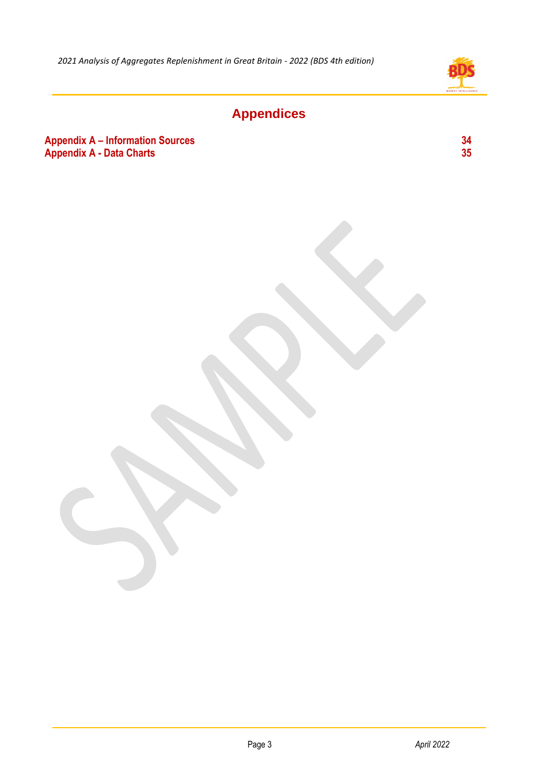

## **Appendices**

#### **Appendix A – Information Sources 34**<br> **Appendix A - Data Charts** 35 **Appendix A - Data Charts**